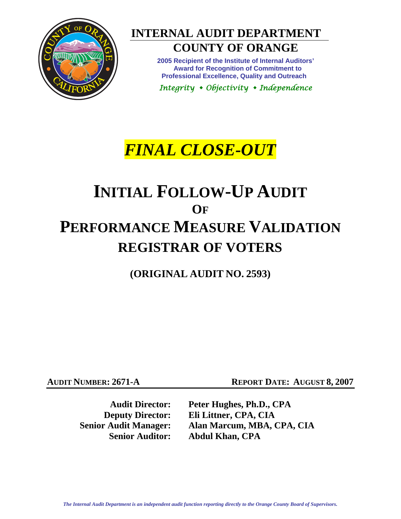

# **INTERNAL AUDIT DEPARTMENT**

## **COUNTY OF ORANGE**

**2005 Recipient of the Institute of Internal Auditors' Award for Recognition of Commitment to Professional Excellence, Quality and Outreach** 

*Integrity Objectivity Independence* 

# *FINAL CLOSE-OUT*

# **INITIAL FOLLOW-UP AUDIT OF PERFORMANCE MEASURE VALIDATION REGISTRAR OF VOTERS**

**(ORIGINAL AUDIT NO. 2593)** 

**AUDIT NUMBER: 2671-A REPORT DATE: AUGUST 8, 2007** 

**Audit Director: Peter Hughes, Ph.D., CPA Deputy Director: Eli Littner, CPA, CIA Senior Audit Manager: Alan Marcum, MBA, CPA, CIA Senior Auditor: Abdul Khan, CPA**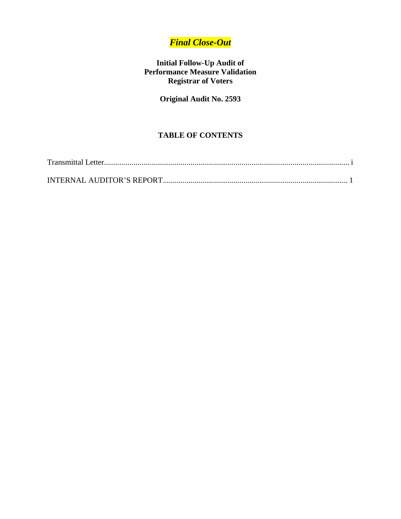## *Final Close-Out*

### **Initial Follow-Up Audit of Performance Measure Validation Registrar of Voters**

**Original Audit No. 2593** 

## **TABLE OF CONTENTS**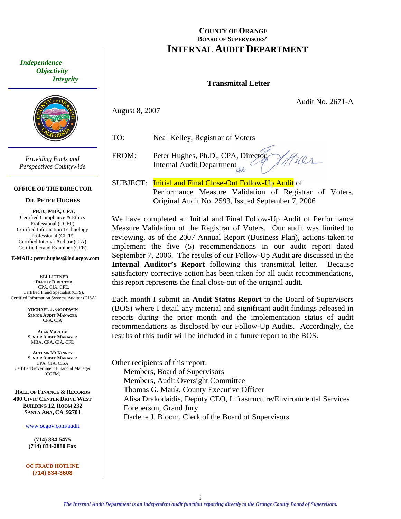<span id="page-2-0"></span> *Independence Objectivity Integrity* 



*Providing Facts and Perspectives Countywide* 

#### **OFFICE OF THE DIRECTOR**

#### **DR. PETER HUGHES**

**PH.D., MBA, CPA,**  Certified Compliance & Ethics Professional (CCEP) Certified Information Technology Professional (CITP) Certified Internal Auditor (CIA) Certified Fraud Examiner (CFE)

#### **E-MAIL: peter.hughes@iad.ocgov.com**

**ELI LITTNER DEPUTY DIRECTOR** CPA, CIA, CFE, Certified Fraud Specialist (CFS), Certified Information Systems Auditor (CISA)

> **MICHAEL J. GOODWIN SENIOR AUDIT MANAGER** CPA, CIA

**ALAN MARCUM SENIOR AUDIT MANAGER** MBA, CPA, CIA, CFE

**AUTUMN MCKINNEY SENIOR AUDIT MANAGER** CPA, CIA, CISA Certified Government Financial Manager (CGFM)

**HALL OF FINANCE & RECORDS 400 CIVIC CENTER DRIVE WEST BUILDING 12, ROOM 232 SANTA ANA, CA 92701** 

www.ocgov.com/audit

**(714) 834-5475 (714) 834-2880 Fax** 

**OC FRAUD HOTLINE (714) 834-3608** 

#### **COUNTY OF ORANGE BOARD OF SUPERVISORS' INTERNAL AUDIT DEPARTMENT**

#### **Transmittal Letter**

Audit No. 2671-A

August 8, 2007

TO: Neal Kelley, Registrar of Voters

FROM: Peter Hughes, Ph.D., CPA, Director  $1101$ Internal Audit Department

SUBJECT: Initial and Final Close-Out Follow-Up Audit of Performance Measure Validation of Registrar of Voters, Original Audit No. 2593, Issued September 7, 2006

We have completed an Initial and Final Follow-Up Audit of Performance Measure Validation of the Registrar of Voters. Our audit was limited to reviewing, as of the 2007 Annual Report (Business Plan), actions taken to implement the five (5) recommendations in our audit report dated September 7, 2006. The results of our Follow-Up Audit are discussed in the **Internal Auditor's Report** following this transmittal letter. Because satisfactory corrective action has been taken for all audit recommendations, this report represents the final close-out of the original audit.

Each month I submit an **Audit Status Report** to the Board of Supervisors (BOS) where I detail any material and significant audit findings released in reports during the prior month and the implementation status of audit recommendations as disclosed by our Follow-Up Audits. Accordingly, the results of this audit will be included in a future report to the BOS.

Other recipients of this report: Members, Board of Supervisors Members, Audit Oversight Committee Thomas G. Mauk, County Executive Officer Alisa Drakodaidis, Deputy CEO, Infrastructure/Environmental Services Foreperson, Grand Jury Darlene J. Bloom, Clerk of the Board of Supervisors